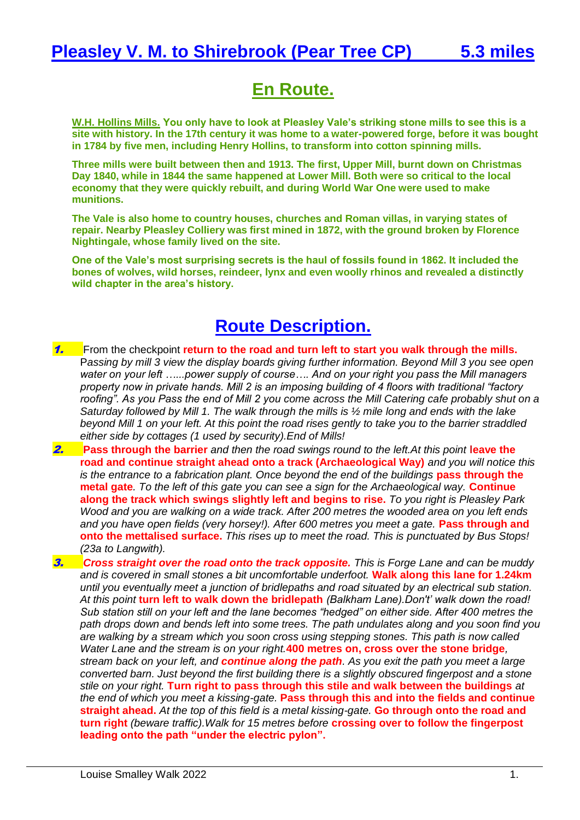## **En Route.**

**W.H. Hollins Mills. You only have to look at Pleasley Vale's striking stone mills to see this is a site with history. In the 17th century it was home to a water-powered forge, before it was bought in 1784 by five men, including Henry Hollins, to transform into cotton spinning mills.**

**Three mills were built between then and 1913. The first, Upper Mill, burnt down on Christmas Day 1840, while in 1844 the same happened at Lower Mill. Both were so critical to the local economy that they were quickly rebuilt, and during World War One were used to make munitions.**

**The Vale is also home to country houses, churches and Roman villas, in varying states of repair. Nearby Pleasley Colliery was first mined in 1872, with the ground broken by Florence Nightingale, whose family lived on the site.**

**One of the Vale's most surprising secrets is the haul of fossils found in 1862. It included the bones of wolves, wild horses, reindeer, lynx and even woolly rhinos and revealed a distinctly wild chapter in the area's history.**

## **Route Description.**

- 1. From the checkpoint **return to the road and turn left to start you walk through the mills.** P*assing by mill 3 view the display boards giving further information. Beyond Mill 3 you see open water on your left …...power supply of course…. And on your right you pass the Mill managers property now in private hands. Mill 2 is an imposing building of 4 floors with traditional "factory roofing". As you Pass the end of Mill 2 you come across the Mill Catering cafe probably shut on a Saturday followed by Mill 1. The walk through the mills is ½ mile long and ends with the lake beyond Mill 1 on your left. At this point the road rises gently to take you to the barrier straddled either side by cottages (1 used by security).End of Mills!*
- **2. Pass through the barrier** and then the road swings round to the left. At this point **leave the road and continue straight ahead onto a track (Archaeological Way)** *and you will notice this is the entrance to a fabrication plant. Once beyond the end of the buildings pass through the* **metal gate***. To the left of this gate you can see a sign for the Archaeological way.* **Continue along the track which swings slightly left and begins to rise.** *To you right is Pleasley Park Wood and you are walking on a wide track. After 200 metres the wooded area on you left ends and you have open fields (very horsey!). After 600 metres you meet a gate.* **Pass through and onto the mettalised surface.** *This rises up to meet the road. This is punctuated by Bus Stops! (23a to Langwith).*
- 3. *Cross straight over the road onto the track opposite. This is Forge Lane and can be muddy and is covered in small stones a bit uncomfortable underfoot.* **Walk along this lane for 1.24km**  *until you eventually meet a junction of bridlepaths and road situated by an electrical sub station. At this point* **turn left to walk down the bridlepath** *(Balkham Lane).Don't' walk down the road! Sub station still on your left and the lane becomes "hedged" on either side. After 400 metres the path drops down and bends left into some trees. The path undulates along and you soon find you are walking by a stream which you soon cross using stepping stones. This path is now called Water Lane and the stream is on your right.***400 metres on, cross over the stone bridge***, stream back on your left, and continue along the path. As you exit the path you meet a large converted barn. Just beyond the first building there is a slightly obscured fingerpost and a stone stile on your right.* **Turn right to pass through this stile and walk between the buildings** *at the end of which you meet a kissing-gate.* **Pass through this and into the fields and continue straight ahead.** *At the top of this field is a metal kissing-gate.* **Go through onto the road and turn right** *(beware traffic).Walk for 15 metres before* **crossing over to follow the fingerpost leading onto the path "under the electric pylon".**